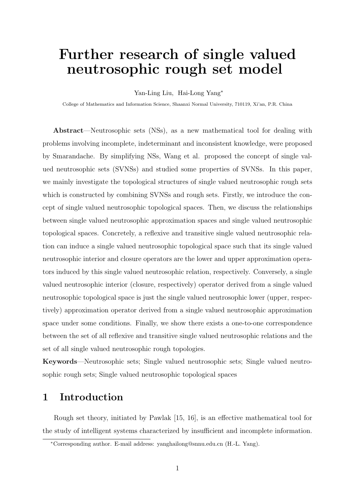# **Further research of single valued neutrosophic rough set model**

Yan-Ling Liu, Hai-Long Yang*<sup>∗</sup>*

College of Mathematics and Information Science, Shaanxi Normal University, 710119, Xi'an, P.R. China

**Abstract**—Neutrosophic sets (NSs), as a new mathematical tool for dealing with problems involving incomplete, indeterminant and inconsistent knowledge, were proposed by Smarandache. By simplifying NSs, Wang et al. proposed the concept of single valued neutrosophic sets (SVNSs) and studied some properties of SVNSs. In this paper, we mainly investigate the topological structures of single valued neutrosophic rough sets which is constructed by combining SVNSs and rough sets. Firstly, we introduce the concept of single valued neutrosophic topological spaces. Then, we discuss the relationships between single valued neutrosophic approximation spaces and single valued neutrosophic topological spaces. Concretely, a reflexive and transitive single valued neutrosophic relation can induce a single valued neutrosophic topological space such that its single valued neutrosophic interior and closure operators are the lower and upper approximation operators induced by this single valued neutrosophic relation, respectively. Conversely, a single valued neutrosophic interior (closure, respectively) operator derived from a single valued neutrosophic topological space is just the single valued neutrosophic lower (upper, respectively) approximation operator derived from a single valued neutrosophic approximation space under some conditions. Finally, we show there exists a one-to-one correspondence between the set of all reflexive and transitive single valued neutrosophic relations and the set of all single valued neutrosophic rough topologies.

**Keywords**—Neutrosophic sets; Single valued neutrosophic sets; Single valued neutrosophic rough sets; Single valued neutrosophic topological spaces

#### **1 Introduction**

Rough set theory, initiated by Pawlak [15, 16], is an effective mathematical tool for the study of intelligent systems characterized by insufficient and incomplete information.

*<sup>∗</sup>*Corresponding author. E-mail address: yanghailong@snnu.edu.cn (H.-L. Yang).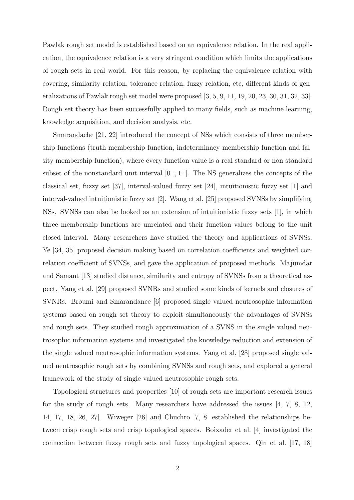Pawlak rough set model is established based on an equivalence relation. In the real application, the equivalence relation is a very stringent condition which limits the applications of rough sets in real world. For this reason, by replacing the equivalence relation with covering, similarity relation, tolerance relation, fuzzy relation, etc, different kinds of generalizations of Pawlak rough set model were proposed [3, 5, 9, 11, 19, 20, 23, 30, 31, 32, 33]. Rough set theory has been successfully applied to many fields, such as machine learning, knowledge acquisition, and decision analysis, etc.

Smarandache [21, 22] introduced the concept of NSs which consists of three membership functions (truth membership function, indeterminacy membership function and falsity membership function), where every function value is a real standard or non-standard subset of the nonstandard unit interval  $]0^-$ , 1<sup>+</sup>[. The NS generalizes the concepts of the classical set, fuzzy set [37], interval-valued fuzzy set [24], intuitionistic fuzzy set [1] and interval-valued intuitionistic fuzzy set [2]. Wang et al. [25] proposed SVNSs by simplifying NSs. SVNSs can also be looked as an extension of intuitionistic fuzzy sets [1], in which three membership functions are unrelated and their function values belong to the unit closed interval. Many researchers have studied the theory and applications of SVNSs. Ye [34, 35] proposed decision making based on correlation coefficients and weighted correlation coefficient of SVNSs, and gave the application of proposed methods. Majumdar and Samant [13] studied distance, similarity and entropy of SVNSs from a theoretical aspect. Yang et al. [29] proposed SVNRs and studied some kinds of kernels and closures of SVNRs. Broumi and Smarandance [6] proposed single valued neutrosophic information systems based on rough set theory to exploit simultaneously the advantages of SVNSs and rough sets. They studied rough approximation of a SVNS in the single valued neutrosophic information systems and investigated the knowledge reduction and extension of the single valued neutrosophic information systems. Yang et al. [28] proposed single valued neutrosophic rough sets by combining SVNSs and rough sets, and explored a general framework of the study of single valued neutrosophic rough sets.

Topological structures and properties [10] of rough sets are important research issues for the study of rough sets. Many researchers have addressed the issues [4, 7, 8, 12, 14, 17, 18, 26, 27]. Wiweger [26] and Chuchro [7, 8] established the relationships between crisp rough sets and crisp topological spaces. Boixader et al. [4] investigated the connection between fuzzy rough sets and fuzzy topological spaces. Qin et al. [17, 18]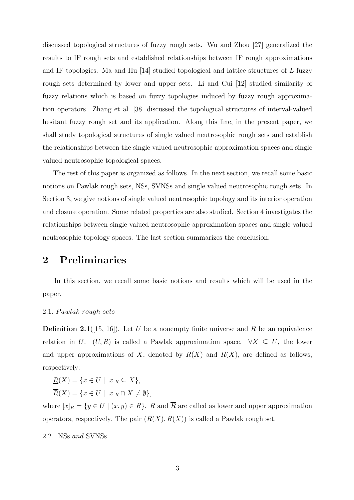discussed topological structures of fuzzy rough sets. Wu and Zhou [27] generalized the results to IF rough sets and established relationships between IF rough approximations and IF topologies. Ma and Hu [14] studied topological and lattice structures of *L*-fuzzy rough sets determined by lower and upper sets. Li and Cui [12] studied similarity of fuzzy relations which is based on fuzzy topologies induced by fuzzy rough approximation operators. Zhang et al. [38] discussed the topological structures of interval-valued hesitant fuzzy rough set and its application. Along this line, in the present paper, we shall study topological structures of single valued neutrosophic rough sets and establish the relationships between the single valued neutrosophic approximation spaces and single valued neutrosophic topological spaces.

The rest of this paper is organized as follows. In the next section, we recall some basic notions on Pawlak rough sets, NSs, SVNSs and single valued neutrosophic rough sets. In Section 3, we give notions of single valued neutrosophic topology and its interior operation and closure operation. Some related properties are also studied. Section 4 investigates the relationships between single valued neutrosophic approximation spaces and single valued neutrosophic topology spaces. The last section summarizes the conclusion.

### **2 Preliminaries**

In this section, we recall some basic notions and results which will be used in the paper.

#### 2*.*1*. P awlak rough sets*

**Definition 2.1**([15, 16]). Let *U* be a nonempty finite universe and *R* be an equivalence relation in *U*. (*U, R*) is called a Pawlak approximation space.  $\forall X \subseteq U$ , the lower and upper approximations of X, denoted by  $R(X)$  and  $\overline{R}(X)$ , are defined as follows, respectively:

$$
\underline{R}(X) = \{ x \in U \mid [x]_R \subseteq X \},\
$$

 $\overline{R}(X) = \{x \in U \mid [x]_B \cap X \neq \emptyset\},\$ 

where  $[x]_R = \{y \in U \mid (x, y) \in R\}$ . R and  $\overline{R}$  are called as lower and upper approximation operators, respectively. The pair  $(R(X), \overline{R}(X))$  is called a Pawlak rough set.

2*.*2*.* NSs *and* SVNSs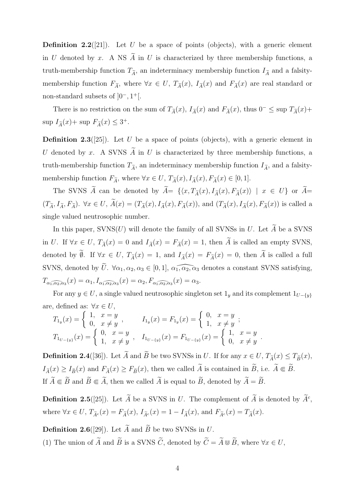**Definition 2.2**([21]). Let *U* be a space of points (objects), with a generic element in *U* denoted by *x*. A NS  $\widetilde{A}$  in *U* is characterized by three membership functions, a truth-membership function  $T_{\tilde{A}}$ , an indeterminacy membership function  $I_{\tilde{A}}$  and a falsitymembership function  $F_{\tilde{A}}$ , where  $\forall x \in U$ ,  $T_{\tilde{A}}(x)$ ,  $I_{\tilde{A}}(x)$  and  $F_{\tilde{A}}(x)$  are real standard or non-standard subsets of ]0*<sup>−</sup>,* 1 <sup>+</sup>[.

There is no restriction on the sum of  $T_{\tilde{A}}(x)$ ,  $I_{\tilde{A}}(x)$  and  $F_{\tilde{A}}(x)$ , thus  $0^- \leq \sup T_{\tilde{A}}(x)$ +  $\sup I_{\widetilde{A}}(x) + \sup F_{\widetilde{A}}(x) \leq 3^+.$ 

**Definition 2.3**([25]). Let *U* be a space of points (objects), with a generic element in *U* denoted by *x*. A SVNS  $\widetilde{A}$  in *U* is characterized by three membership functions, a truth-membership function  $T_{\tilde{\mathcal{A}}}$ , an indeterminacy membership function  $I_{\tilde{\mathcal{A}}}$ , and a falsitymembership function  $F_{\tilde{A}}$ , where  $\forall x \in U$ ,  $T_{\tilde{A}}(x)$ ,  $I_{\tilde{A}}(x)$ ,  $F_{\tilde{A}}(x) \in [0,1]$ .

The SVNS  $\widetilde{A}$  can be denoted by  $\widetilde{A} = \{ \langle x, T_{\widetilde{A}}(x), I_{\widetilde{A}}(x), F_{\widetilde{A}}(x) \rangle \mid x \in U \}$  or  $\widetilde{A} =$  $(T_{\widetilde{A}}, I_{\widetilde{A}}, F_{\widetilde{A}})$ .  $\forall x \in U$ ,  $\widetilde{A}(x) = (T_{\widetilde{A}}(x), I_{\widetilde{A}}(x), F_{\widetilde{A}}(x))$ , and  $(T_{\widetilde{A}}(x), I_{\widetilde{A}}(x), F_{\widetilde{A}}(x))$  is called a single valued neutrosophic number.

In this paper,  $SVNS(U)$  will denote the family of all SVNSs in *U*. Let  $\widetilde{A}$  be a SVNS in *U*. If  $\forall x \in U$ ,  $T_{\tilde{A}}(x) = 0$  and  $I_{\tilde{A}}(x) = F_{\tilde{A}}(x) = 1$ , then  $\tilde{A}$  is called an empty SVNS, denoted by  $\widetilde{\emptyset}$ . If  $\forall x \in U$ ,  $T_{\widetilde{A}}(x) = 1$ , and  $I_{\widetilde{A}}(x) = F_{\widetilde{A}}(x) = 0$ , then  $\widetilde{A}$  is called a full SVNS, denoted by  $\widetilde{U}$ .  $\forall \alpha_1, \alpha_2, \alpha_3 \in [0,1], \widetilde{\alpha_1, \alpha_2, \alpha_3}$  denotes a constant SVNS satisfying,  $T_{\alpha_1,\alpha_2,\alpha_3}(x) = \alpha_1, I_{\alpha_1,\alpha_2,\alpha_3}(x) = \alpha_2, F_{\alpha_1,\alpha_2,\alpha_3}(x) = \alpha_3.$ 

For any  $y \in U$ , a single valued neutrosophic singleton set  $1_y$  and its complement  $1_{U-\{y\}}$ are, defined as:  $\forall x \in U$ ,

$$
T_{1y}(x) = \begin{cases} 1, & x = y \\ 0, & x \neq y \end{cases}, \qquad I_{1y}(x) = F_{1y}(x) = \begin{cases} 0, & x = y \\ 1, & x \neq y \end{cases};
$$
  

$$
T_{1_{U-\{y\}}}(x) = \begin{cases} 0, & x = y \\ 1, & x \neq y \end{cases}, \quad I_{1_{U-\{y\}}}(x) = F_{1_{U-\{y\}}}(x) = \begin{cases} 1, & x = y \\ 0, & x \neq y \end{cases}.
$$

**Definition 2.4**([36]). Let  $\widetilde{A}$  and  $\widetilde{B}$  be two SVNSs in *U*. If for any  $x \in U$ ,  $T_{\widetilde{A}}(x) \leq T_{\widetilde{B}}(x)$ ,  $I_{\widetilde{A}}(x) \geq I_{\widetilde{B}}(x)$  and  $F_{\widetilde{A}}(x) \geq F_{\widetilde{B}}(x)$ , then we called  $\widetilde{A}$  is contained in  $\widetilde{B}$ , i.e.  $\widetilde{A} \Subset \widetilde{B}$ . If  $\widetilde{A} \Subset \widetilde{B}$  and  $\widetilde{B} \Subset \widetilde{A}$ , then we called  $\widetilde{A}$  is equal to  $\widetilde{B}$ , denoted by  $\widetilde{A} = \widetilde{B}$ .

**Definition 2.5**([25]). Let  $\overline{A}$  be a SVNS in  $U$ . The complement of  $\overline{A}$  is denoted by  $\overline{A}^c$ , where  $\forall x \in U$ ,  $T_{\tilde{\Lambda}c}(x) = F_{\tilde{\Lambda}}(x)$ ,  $I_{\tilde{\Lambda}c}(x) = 1 - I_{\tilde{\Lambda}}(x)$ , and  $F_{\tilde{\Lambda}c}(x) = T_{\tilde{\Lambda}}(x)$ .

**Definition 2.6**([29]). Let  $\widetilde{A}$  and  $\widetilde{B}$  be two SVNSs in *U*.

(1) The union of  $\widetilde{A}$  and  $\widetilde{B}$  is a SVNS  $\widetilde{C}$ , denoted by  $\widetilde{C} = \widetilde{A} \cup \widetilde{B}$ , where  $\forall x \in U$ ,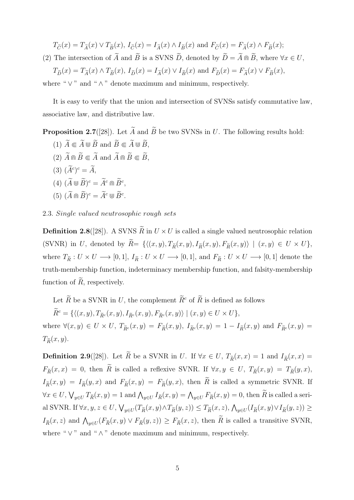$T_{\widetilde{C}}(x) = T_{\widetilde{A}}(x) \vee T_{\widetilde{B}}(x), I_{\widetilde{C}}(x) = I_{\widetilde{A}}(x) \wedge I_{\widetilde{B}}(x)$  and  $F_{\widetilde{C}}(x) = F_{\widetilde{A}}(x) \wedge F_{\widetilde{B}}(x);$ 

(2) The intersection of  $\widetilde{A}$  and  $\widetilde{B}$  is a SVNS  $\widetilde{D}$ , denoted by  $\widetilde{D} = \widetilde{A} \cap \widetilde{B}$ , where  $\forall x \in U$ ,

 $T_{\widetilde{D}}(x) = T_{\widetilde{A}}(x) \wedge T_{\widetilde{B}}(x), I_{\widetilde{D}}(x) = I_{\widetilde{A}}(x) \vee I_{\widetilde{B}}(x)$  and  $F_{\widetilde{D}}(x) = F_{\widetilde{A}}(x) \vee F_{\widetilde{B}}(x),$ where " *∨* " and " *∧* " denote maximum and minimum, respectively.

It is easy to verify that the union and intersection of SVNSs satisfy commutative law, associative law, and distributive law.

**Proposition 2.7**([28]). Let  $\widetilde{A}$  and  $\widetilde{B}$  be two SVNSs in *U*. The following results hold:

- $(1)$   $\widetilde{A} \subseteq \widetilde{A} \cup \widetilde{B}$  and  $\widetilde{B} \subseteq \widetilde{A} \cup \widetilde{B}$ ,
- $(2)$   $\widetilde{A} \oplus \widetilde{B} \subseteq \widetilde{A}$  and  $\widetilde{A} \oplus \widetilde{B} \subseteq \widetilde{B}$ ,
- $(A^c)^c = A,$
- $(A)$   $(\widetilde{A} \cup \widetilde{B})^c = \widetilde{A}^c \cap \widetilde{B}^c$ ,
- $(5)$   $(A \cap B)^c = A^c \cup B^c$ .

2*.*3*. Single valued neutrosophic rough sets*

**Definition 2.8**([28]). A SVNS  $\widetilde{R}$  in  $U \times U$  is called a single valued neutrosophic relation (SVNR) in U, denoted by  $\widetilde{R} = \{ \langle (x, y), T_{\widetilde{R}}(x, y), I_{\widetilde{R}}(x, y), F_{\widetilde{R}}(x, y) \rangle \mid (x, y) \in U \times U \},\$ where  $T_{\tilde{R}}: U \times U \longrightarrow [0,1], I_{\tilde{R}}: U \times U \longrightarrow [0,1],$  and  $F_{\tilde{R}}: U \times U \longrightarrow [0,1]$  denote the truth-membership function, indeterminacy membership function, and falsity-membership function of  $\widetilde{R}$ , respectively.

Let  $\widetilde{R}$  be a SVNR in *U*, the complement  $\widetilde{R}^c$  of  $\widetilde{R}$  is defined as follows

 $\widetilde{R}^c = \{ \langle (x, y), T_{\widetilde{R}^c}(x, y), I_{\widetilde{R}^c}(x, y), F_{\widetilde{R}^c}(x, y) \rangle \mid (x, y) \in U \times U \},$ where  $\forall (x, y) \in U \times U$ ,  $T_{\tilde{R}^c}(x, y) = F_{\tilde{R}}(x, y)$ ,  $I_{\tilde{R}^c}(x, y) = 1 - I_{\tilde{R}}(x, y)$  and  $F_{\tilde{R}^c}(x, y) =$  $T_{\widetilde{B}}(x,y).$ 

**Definition 2.9**([28]). Let  $\widetilde{R}$  be a SVNR in *U*. If  $\forall x \in U$ ,  $T_{\widetilde{R}}(x,x) = 1$  and  $I_{\widetilde{R}}(x,x) =$  $F_{\tilde{R}}(x,x) = 0$ , then  $\tilde{R}$  is called a reflexive SVNR. If  $\forall x, y \in U$ ,  $T_{\tilde{R}}(x,y) = T_{\tilde{R}}(y,x)$ ,  $I_{\tilde{R}}(x,y) = I_{\tilde{R}}(y,x)$  and  $F_{\tilde{R}}(x,y) = F_{\tilde{R}}(y,x)$ , then  $\tilde{R}$  is called a symmetric SVNR. If  $\forall x \in U$ ,  $\bigvee_{y \in U} T_{\tilde{R}}(x, y) = 1$  and  $\bigwedge_{y \in U} I_{\tilde{R}}(x, y) = \bigwedge_{y \in U} F_{\tilde{R}}(x, y) = 0$ , then  $\tilde{R}$  is called a serial SVNR. If  $\forall x, y, z \in U$ ,  $\bigvee_{y \in U} (T_{\widetilde{R}}(x, y) \wedge T_{\widetilde{R}}(y, z)) \leq T_{\widetilde{R}}(x, z)$ ,  $\bigwedge_{y \in U} (I_{\widetilde{R}}(x, y) \vee I_{\widetilde{R}}(y, z)) \geq$  $I_{\tilde{R}}(x, z)$  and  $\bigwedge_{y \in U} (F_{\tilde{R}}(x, y) \vee F_{\tilde{R}}(y, z)) \ge F_{\tilde{R}}(x, z)$ , then  $\tilde{R}$  is called a transitive SVNR, where " *∨* " and " *∧* " denote maximum and minimum, respectively.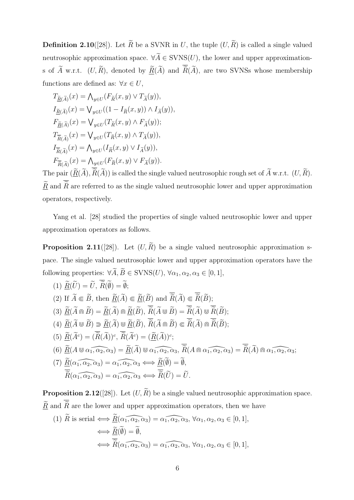**Definition 2.10**([28]). Let  $\widetilde{R}$  be a SVNR in *U*, the tuple  $(U, \widetilde{R})$  is called a single valued neutrosophic approximation space.  $\forall \widetilde{A} \in \text{SVNS}(U)$ , the lower and upper approximations of  $\widetilde{A}$  w.r.t.  $(U, \widetilde{R})$ , denoted by  $\underline{\widetilde{R}}(\widetilde{A})$  and  $\overline{\widetilde{R}}(\widetilde{A})$ , are two SVNSs whose membership functions are defined as:  $\forall x \in U$ ,

$$
\begin{aligned} T_{\underline{\widetilde{R}}(\widetilde{A})}(x)&=\bigwedge_{y\in U}(F_{\widetilde{R}}(x,y)\vee T_{\widetilde{A}}(y)),\\ I_{\underline{\widetilde{R}}(\widetilde{A})}(x)&=\bigvee_{y\in U}((1-I_{\widetilde{R}}(x,y))\wedge I_{\widetilde{A}}(y)),\\ F_{\underline{\widetilde{R}}(\widetilde{A})}(x)&=\bigvee_{y\in U}(T_{\widetilde{R}}(x,y)\wedge F_{\widetilde{A}}(y));\\ T_{\overline{\widetilde{R}}(\widetilde{A})}(x)&=\bigvee_{y\in U}(T_{\widetilde{R}}(x,y)\wedge T_{\widetilde{A}}(y)),\\ I_{\overline{\widetilde{R}}(\widetilde{A})}(x)&=\bigwedge_{y\in U}(I_{\widetilde{R}}(x,y)\vee I_{\widetilde{A}}(y)),\\ F_{\overline{\widetilde{R}}(\widetilde{A})}(x)&=\bigwedge_{y\in U}(F_{\widetilde{R}}(x,y)\vee F_{\widetilde{A}}(y)). \end{aligned}
$$

The pair  $(\underline{R}(A), R(A))$  is called the single valued neutrosophic rough set of  $A$  w.r.t.  $(U, R)$ .  $\widetilde{R}$  and  $\overline{\widetilde{R}}$  are referred to as the single valued neutrosophic lower and upper approximation operators, respectively.

Yang et al. [28] studied the properties of single valued neutrosophic lower and upper approximation operators as follows.

**Proposition 2.11**([28]). Let  $(U, \widetilde{R})$  be a single valued neutrosophic approximation space. The single valued neutrosophic lower and upper approximation operators have the following properties:  $\forall \widetilde{A}, \widetilde{B} \in \text{SVNS}(U), \forall \alpha_1, \alpha_2, \alpha_3 \in [0, 1],$ 

(1) 
$$
\widetilde{R}(\widetilde{U}) = \widetilde{U}, \widetilde{R}(\widetilde{\emptyset}) = \widetilde{\emptyset};
$$
  
\n(2) If  $\widetilde{A} \subseteq \widetilde{B}$ , then  $\widetilde{R}(\widetilde{A}) \subseteq \widetilde{R}(\widetilde{B})$  and  $\widetilde{R}(\widetilde{A}) \subseteq \widetilde{R}(\widetilde{B})$ ;  
\n(3)  $\widetilde{R}(\widetilde{A} \cap \widetilde{B}) = \widetilde{R}(\widetilde{A}) \cap \widetilde{R}(\widetilde{B}), \widetilde{R}(\widetilde{A} \cup \widetilde{B}) = \overline{\widetilde{R}}(\widetilde{A}) \cup \widetilde{R}(\widetilde{B})$ ;  
\n(4)  $\widetilde{R}(\widetilde{A} \cup \widetilde{B}) \supseteq \widetilde{R}(\widetilde{A}) \cup \widetilde{R}(\widetilde{B}), \widetilde{R}(\widetilde{A} \cap \widetilde{B}) \subseteq \overline{\widetilde{R}}(\widetilde{A}) \cap \overline{\widetilde{R}}(\widetilde{B})$ ;  
\n(5)  $\widetilde{R}(\widetilde{A}^c) = (\overline{\widetilde{R}}(\widetilde{A}))^c, \widetilde{R}(\widetilde{A}^c) = (\widetilde{R}(\widetilde{A}))^c$ ;  
\n(6)  $\widetilde{R}(A \cup \alpha_1, \alpha_2, \alpha_3) = \widetilde{R}(\widetilde{A}) \cup \alpha_1, \alpha_2, \alpha_3, \widetilde{R}(A \cap \alpha_1, \alpha_2, \alpha_3) = \widetilde{R}(\widetilde{A}) \cap \alpha_1, \alpha_2, \alpha_3$ ;  
\n(7)  $\widetilde{R}(\alpha_1, \alpha_2, \alpha_3) = \alpha_1, \alpha_2, \alpha_3 \iff \widetilde{R}(\widetilde{U}) = \widetilde{U}$ .

**Proposition 2.12([28]).** Let  $(U, \widetilde{R})$  be a single valued neutrosophic approximation space.  $\underline{\widetilde{R}}$  and  $\overline{\widetilde{R}}$  are the lower and upper approximation operators, then we have

(1) *R* is serial 
$$
\Longleftrightarrow \underline{R}(\alpha_1, \alpha_2, \alpha_3) = \alpha_1, \alpha_2, \alpha_3, \forall \alpha_1, \alpha_2, \alpha_3 \in [0, 1],
$$
  
 $\Longleftrightarrow \underline{\tilde{R}}(\tilde{\emptyset}) = \tilde{\emptyset},$   
 $\Longleftrightarrow \overline{\tilde{R}}(\alpha_1, \alpha_2, \alpha_3) = \alpha_1, \alpha_2, \alpha_3, \forall \alpha_1, \alpha_2, \alpha_3 \in [0, 1],$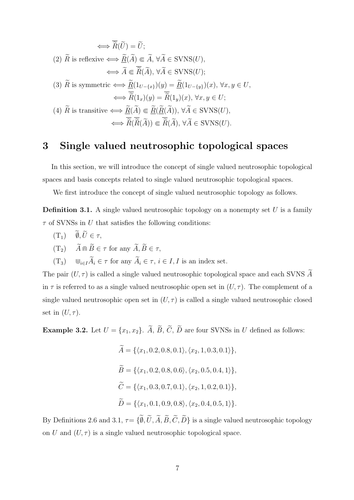$$
\iff \overline{\widetilde{R}}(\widetilde{U}) = \widetilde{U};
$$
\n
$$
(2) \widetilde{R} \text{ is reflexive} \iff \underline{\widetilde{R}}(\widetilde{A}) \Subset \widetilde{A}, \forall \widetilde{A} \in \text{SVNS}(U),
$$
\n
$$
\iff \widetilde{A} \Subset \overline{\widetilde{R}}(\widetilde{A}), \forall \widetilde{A} \in \text{SVNS}(U);
$$
\n
$$
(3) \widetilde{R} \text{ is symmetric} \iff \underline{\widetilde{R}}(1_{U-\{x\}})(y) = \underline{\widetilde{R}}(1_{U-\{y\}})(x), \forall x, y \in U,
$$
\n
$$
\iff \overline{\widetilde{R}}(1_x)(y) = \overline{\widetilde{R}}(1_y)(x), \forall x, y \in U;
$$
\n
$$
(4) \widetilde{R} \text{ is transitive} \iff \underline{\widetilde{R}}(\widetilde{A}) \Subset \underline{\widetilde{R}}(\widetilde{R}(\widetilde{A})), \forall \widetilde{A} \in \text{SVNS}(U),
$$
\n
$$
\iff \overline{\widetilde{R}}(\overline{\widetilde{R}}(\widetilde{A})) \Subset \overline{\widetilde{R}}(\widetilde{A}), \forall \widetilde{A} \in \text{SVNS}(U).
$$

#### **3 Single valued neutrosophic topological spaces**

In this section, we will introduce the concept of single valued neutrosophic topological spaces and basis concepts related to single valued neutrosophic topological spaces.

We first introduce the concept of single valued neutrosophic topology as follows.

**Definition 3.1.** A single valued neutrosophic topology on a nonempty set *U* is a family *τ* of SVNSs in *U* that satisfies the following conditions:

- $(T_1)$  $\widetilde{\emptyset}, \widetilde{U} \in \tau$ ,
- $(T_2)$   $\widetilde{A} \oplus \widetilde{B} \in \tau$  for any  $\widetilde{A}, \widetilde{B} \in \tau$ ,
- $(T_3)$  *⊎*<sub>*i*∈*I*</sub> $\widetilde{A}_i$  ∈ *τ* for any  $\widetilde{A}_i$  ∈ *τ*, *i* ∈ *I*, *I* is an index set.

The pair  $(U, \tau)$  is called a single valued neutrosophic topological space and each SVNS  $\widetilde{A}$ in  $\tau$  is referred to as a single valued neutrosophic open set in  $(U, \tau)$ . The complement of a single valued neutrosophic open set in  $(U, \tau)$  is called a single valued neutrosophic closed set in  $(U, \tau)$ .

**Example 3.2.** Let  $U = \{x_1, x_2\}$ .  $\widetilde{A}$ ,  $\widetilde{B}$ ,  $\widetilde{C}$ ,  $\widetilde{D}$  are four SVNSs in *U* defined as follows:

$$
\widetilde{A} = \{ \langle x_1, 0.2, 0.8, 0.1 \rangle, \langle x_2, 1, 0.3, 0.1 \rangle \},
$$
  
\n
$$
\widetilde{B} = \{ \langle x_1, 0.2, 0.8, 0.6 \rangle, \langle x_2, 0.5, 0.4, 1 \rangle \},
$$
  
\n
$$
\widetilde{C} = \{ \langle x_1, 0.3, 0.7, 0.1 \rangle, \langle x_2, 1, 0.2, 0.1 \rangle \},
$$
  
\n
$$
\widetilde{D} = \{ \langle x_1, 0.1, 0.9, 0.8 \rangle, \langle x_2, 0.4, 0.5, 1 \rangle \}.
$$

By Definitions 2.6 and 3.1,  $\tau = \{\emptyset, U, A, B, C, D\}$  is a single valued neutrosophic topology on *U* and  $(U, \tau)$  is a single valued neutrosophic topological space.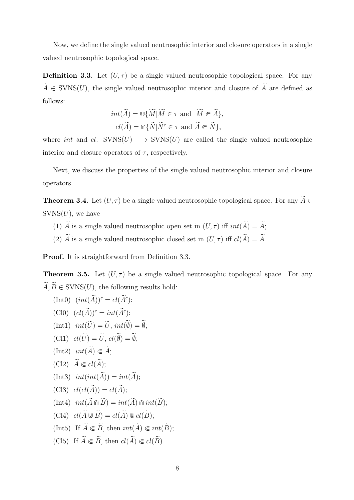Now, we define the single valued neutrosophic interior and closure operators in a single valued neutrosophic topological space.

**Definition 3.3.** Let  $(U, \tau)$  be a single valued neutrosophic topological space. For any  $\widetilde{A} \in \text{SVN}(U)$ , the single valued neutrosophic interior and closure of  $\widetilde{A}$  are defined as follows:

$$
int(\widetilde{A}) = \mathbb{U}\{\widetilde{M}|\widetilde{M} \in \tau \text{ and } \widetilde{M} \subseteq \widetilde{A}\},
$$
  

$$
cl(\widetilde{A}) = \widehat{\mathfrak{m}}\{\widetilde{N}|\widetilde{N}^c \in \tau \text{ and } \widetilde{A} \subseteq \widetilde{N}\},
$$

where *int* and  $cl:$  SVNS( $U$ )  $\longrightarrow$  SVNS( $U$ ) are called the single valued neutrosophic interior and closure operators of  $\tau$ , respectively.

Next, we discuss the properties of the single valued neutrosophic interior and closure operators.

**Theorem 3.4.** Let  $(U, \tau)$  be a single valued neutrosophic topological space. For any  $\widetilde{A} \in$  $SVNS(U)$ , we have

- (1)  $\widetilde{A}$  is a single valued neutrosophic open set in  $(U, \tau)$  iff  $int(\widetilde{A}) = \widetilde{A}$ ;
- (2)  $\widetilde{A}$  is a single valued neutrosophic closed set in  $(U, \tau)$  iff  $cl(\widetilde{A}) = \widetilde{A}$ .

**Proof.** It is straightforward from Definition 3.3.

**Theorem 3.5.** Let  $(U, \tau)$  be a single valued neutrosophic topological space. For any  $\widetilde{A}, \widetilde{B} \in \text{SVNS}(U)$ , the following results hold:

(Int0) 
$$
(int(\tilde{A}))^c = cl(\tilde{A}^c);
$$
  
\n(Cl0)  $(cl(\tilde{A}))^c = int(\tilde{A}^c);$   
\n(Int1)  $int(\tilde{U}) = \tilde{U}, int(\tilde{\emptyset}) = \tilde{\emptyset};$   
\n(Cl1)  $cl(\tilde{U}) = \tilde{U}, cl(\tilde{\emptyset}) = \tilde{\emptyset};$   
\n(Int2)  $int(\tilde{A}) \in \tilde{A};$   
\n(Cl2)  $\tilde{A} \in cl(\tilde{A});$   
\n(Int3)  $int(int(\tilde{A})) = int(\tilde{A});$   
\n(Cl3)  $cl(cl(\tilde{A})) = cl(\tilde{A});$   
\n(Int4)  $int(\tilde{A} \mod \tilde{B}) = int(\tilde{A}) \mod int(\tilde{B});$   
\n(Cl4)  $cl(\tilde{A} \cup \tilde{B}) = cl(\tilde{A}) \cup cl(\tilde{B});$   
\n(Int5) If  $\tilde{A} \in \tilde{B}$ , then  $int(\tilde{A}) \in int(\tilde{B});$   
\n(Cl5) If  $\tilde{A} \in \tilde{B}$ , then  $cl(\tilde{A}) \in cl(\tilde{B}).$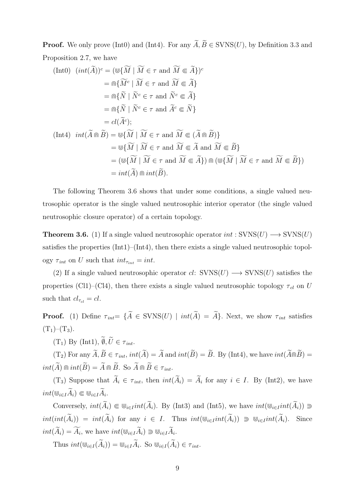**Proof.** We only prove (Int0) and (Int4). For any  $\widetilde{A}$ ,  $\widetilde{B} \in \text{SVN}(U)$ , by Definition 3.3 and Proposition 2.7, we have

$$
\begin{aligned}\n\text{(Int0)} \quad & (int(\widetilde{A}))^c = (\mathbb{U}\{\widetilde{M} \mid \widetilde{M} \in \tau \text{ and } \widetilde{M} \in \widetilde{A}\})^c \\
&= \widehat{m}\{\widetilde{M}^c \mid \widetilde{M} \in \tau \text{ and } \widetilde{M} \in \widetilde{A}\} \\
&= \widehat{m}\{\widetilde{N} \mid \widetilde{N}^c \in \tau \text{ and } \widetilde{N}^c \in \widetilde{A}\} \\
&= \widehat{m}\{\widetilde{N} \mid \widetilde{N}^c \in \tau \text{ and } \widetilde{A}^c \in \widetilde{N}\} \\
&= cl(\widetilde{A}^c); \\
\text{(Int4)} \quad & int(\widetilde{A} \mathbb{m}\widetilde{B}) = \mathbb{U}\{\widetilde{M} \mid \widetilde{M} \in \tau \text{ and } \widetilde{M} \in (\widetilde{A} \mathbb{m}\widetilde{B})\} \\
&= \mathbb{U}\{\widetilde{M} \mid \widetilde{M} \in \tau \text{ and } \widetilde{M} \in \widetilde{A} \text{ and } \widetilde{M} \in \widetilde{B}\} \\
&= (\mathbb{U}\{\widetilde{M} \mid \widetilde{M} \in \tau \text{ and } \widetilde{M} \in \widetilde{A}\}) \mathbb{m} \left(\mathbb{U}\{\widetilde{M} \mid \widetilde{M} \in \tau \text{ and } \widetilde{M} \in \widetilde{B}\}\right) \\
&= int(\widetilde{A}) \mathbb{m} int(\widetilde{B}).\n\end{aligned}
$$

The following Theorem 3.6 shows that under some conditions, a single valued neutrosophic operator is the single valued neutrosophic interior operator (the single valued neutrosophic closure operator) of a certain topology.

**Theorem 3.6.** (1) If a single valued neutrosophic operator  $int : SVNS(U) \longrightarrow SVNS(U)$ satisfies the properties (Int1)–(Int4), then there exists a single valued neutrosophic topology  $\tau_{int}$  on *U* such that  $int_{\tau_{int}} = int$ .

(2) If a single valued neutrosophic operator  $cl: SVNS(U) \longrightarrow SVNS(U)$  satisfies the properties (Cl1)–(Cl4), then there exists a single valued neutrosophic topology  $\tau_{cl}$  on *U* such that  $cl_{\tau_{cl}} = cl$ .

**Proof.** (1) Define  $\tau_{int} = {\{\widetilde{A} \in \text{SVNS}(U) \mid int(\widetilde{A}) = \widetilde{A}}\}$ . Next, we show  $\tau_{int}$  satisfies  $(T_1)$ – $(T_3)$ .

 $(T_1)$  By (Int1),  $\widetilde{\emptyset}$ ,  $\widetilde{U} \in \tau_{int}$ .

 $(T_2)$  For any  $\widetilde{A}, \widetilde{B} \in \tau_{int}$ ,  $int(\widetilde{A}) = \widetilde{A}$  and  $int(\widetilde{B}) = \widetilde{B}$ . By (Int4), we have  $int(\widetilde{A} \cap \widetilde{B}) =$  $int(\widetilde{A}) \mod int(\widetilde{B}) = \widetilde{A} \mod \widetilde{B}$ . So  $\widetilde{A} \mod \widetilde{B} \in \tau_{int}$ .

 $(T_3)$  Suppose that  $A_i \in \tau_{int}$ , then  $int(A_i) = A_i$  for any  $i \in I$ . By (Int2), we have  $int(\mathbb{U}_{i\in I}A_i) \in \mathbb{U}_{i\in I}A_i$ .

Conversely,  $int(\widetilde{A}_i) \in \mathbb{U}_{i \in I} int(\widetilde{A}_i)$ . By (Int3) and (Int5), we have  $int(\mathbb{U}_{i \in I} int(\widetilde{A}_i)) \supseteq$  $int(int(\widetilde{A}_i)) = int(\widetilde{A}_i)$  for any  $i \in I$ . Thus  $int(\mathbb{U}_{i \in I}int(\widetilde{A}_i)) \supseteq \mathbb{U}_{i \in I}int(\widetilde{A}_i)$ . Since  $int(A_i) = A_i$ , we have  $int(\mathbb{U}_{i \in I} A_i) \supset \mathbb{U}_{i \in I} A_i$ .

 $\text{Thus } int(\mathbb{U}_{i \in I}(A_i)) = \mathbb{U}_{i \in I}A_i$ . So  $\mathbb{U}_{i \in I}(A_i) \in \tau_{int}$ .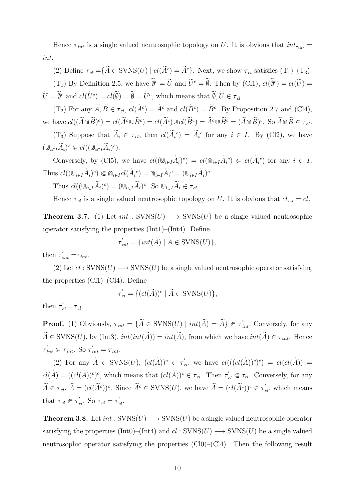Hence  $\tau_{int}$  is a single valued neutrosophic topology on *U*. It is obvious that  $int_{\tau_{int}}$  = *int*.

(2) Define  $\tau_{cl} = \{ \tilde{A} \in \text{SVNS}(U) \mid cl(\tilde{A}^c) = \tilde{A}^c \}$ . Next, we show  $\tau_{cl}$  satisfies  $(T_1)$ – $(T_3)$ .  $(T_1)$  By Definition 2.5, we have  $\emptyset^c = U$  and  $U^c = \emptyset$ . Then by (Cl1),  $cl(\emptyset^c) = cl(U)$  $\hat{U} = \emptyset^c$  and  $cl(\hat{U}^c) = cl(\emptyset) = \emptyset = \hat{U}^c$ , which means that  $\emptyset, \hat{U} \in \tau_{cl}$ .

 $(T_2)$  For any  $\tilde{A}, \tilde{B} \in \tau_{cl}, \text{cl}(\tilde{A}^c) = \tilde{A}^c$  and  $\text{cl}(\tilde{B}^c) = \tilde{B}^c$ . By Proposition 2.7 and (Cl4), we have  $cl((\hat{A} \cap \hat{B})^c) = cl(\hat{A}^c \cup \hat{B}^c) = cl(\hat{A}^c) \cup cl(\hat{B}^c) = \hat{A}^c \cup \hat{B}^c = (\hat{A} \cap \hat{B})^c$ . So  $\hat{A} \cap \hat{B} \in \tau_{cl}$ .

(T<sub>3</sub>) Suppose that  $A_i \in \tau_{cl}$ , then  $cl(\tilde{A_i}^c) = \tilde{A_i}^c$  for any  $i \in I$ . By (Cl2), we have  $(\mathbf{W}_{i \in I} \tilde{A}_i)^c \in cl((\mathbf{W}_{i \in I} \tilde{A}_i)^c).$ 

Conversely, by (Cl5), we have  $cl((\mathbb{U}_{i\in I}A_i)^c) = cl(\mathbb{G}_{i\in I}A_i^c) \subseteq cl(A_i^c)$  for any  $i \in I$ . Thus  $cl((\mathbb{U}_{i\in I}\tilde{A}_i)^c) \subseteq \mathbb{G}_{i\in I}cl(\tilde{A}_i^c) = \mathbb{G}_{i\in I}\tilde{A}_i^c = (\mathbb{U}_{i\in I}\tilde{A}_i)^c$ .

Thus 
$$
cl((\mathbb{U}_{i\in I}\tilde{A}_i)^c) = (\mathbb{U}_{i\in I}\tilde{A}_i)^c
$$
. So  $\mathbb{U}_{i\in I}\tilde{A}_i \in \tau_{cl}$ .

Hence  $\tau_{cl}$  is a single valued neutrosophic topology on *U*. It is obvious that  $cl_{\tau_{cl}} = cl$ .

**Theorem 3.7.** (1) Let  $int : SVNS(U) \rightarrow SVNS(U)$  be a single valued neutrosophic operator satisfying the properties (Int1)–(Int4). Define

$$
\tau'_{int} = \{ int(\widetilde{A}) \mid \widetilde{A} \in \text{SVNS}(U) \},
$$

then  $\tau'_{int} = \tau_{int}$ .

(2) Let  $cl : \text{SVNS}(U) \longrightarrow \text{SVNS}(U)$  be a single valued neutrosophic operator satisfying the properties  $(Cl1)-(Cl4)$ . Define

$$
\tau'_{cl} = \{ (cl(\widetilde{A}))^c \mid \widetilde{A} \in \text{SVNS}(U) \},
$$

then  $\tau'_{cl} = \tau_{cl}$ .

**Proof.** (1) Obviously,  $\tau_{int} = {\{\widetilde{A} \in \text{SVNS}(U) \mid int(\widetilde{A}) = \widetilde{A}} \in \tau'_{int}$ . Conversely, for any  $\widetilde{A} \in \text{SVNS}(U)$ , by (Int3),  $int(int(\widetilde{A})) = int(\widetilde{A})$ , from which we have  $int(\widetilde{A}) \in \tau_{int}$ . Hence  $\tau'_{int} \in \tau_{int}$ . So  $\tau'_{int} = \tau_{int}$ .

(2) For any  $\widetilde{A} \in \text{SVNS}(U)$ ,  $(cl(\widetilde{A}))^c \in \tau'_{cl}$ , we have  $cl(((cl(\widetilde{A}))^c)^c) = cl(cl(\widetilde{A})) =$  $cl(\widetilde{A}) = ((cl(\widetilde{A}))^c)^c$ , which means that  $(cl(\widetilde{A}))^c \in \tau_{cl}$ . Then  $\tau'_{cl} \Subset \tau_{cl}$ . Conversely, for any  $\widetilde{A} \in \tau_{cl}$ ,  $\widetilde{A} = (cl(\widetilde{A}^c))^c$ . Since  $\widetilde{A}^c \in \text{SVNS}(U)$ , we have  $\widetilde{A} = (cl(\widetilde{A}^c))^c \in \tau'_{cl}$ , which means that  $\tau_{cl} \in \tau'_{cl}$ . So  $\tau_{cl} = \tau'_{cl}$ .

**Theorem 3.8.** Let  $int : \text{SVNS}(U) \rightarrow \text{SVNS}(U)$  be a single valued neutrosophic operator satisfying the properties (Int0)–(Int4) and  $cl : \text{SVNS}(U) \longrightarrow \text{SVNS}(U)$  be a single valued neutrosophic operator satisfying the properties  $(C10)–(C14)$ . Then the following result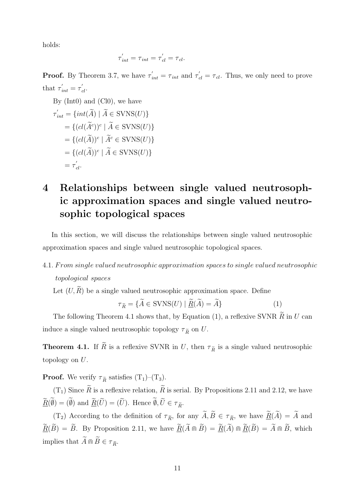holds:

$$
\tau'_{int} = \tau_{int} = \tau'_{cl} = \tau_{cl}.
$$

**Proof.** By Theorem 3.7, we have  $\tau'_{int} = \tau_{int}$  and  $\tau'_{cl} = \tau_{cl}$ . Thus, we only need to prove that  $\tau'_{int} = \tau'_{cl}$ .

By (Int0) and (Cl0), we have  
\n
$$
\tau'_{int} = \{int(\widetilde{A}) \mid \widetilde{A} \in \text{SVNS}(U)\}
$$
\n
$$
= \{(cl(\widetilde{A}^c))^c \mid \widetilde{A} \in \text{SVNS}(U)\}
$$
\n
$$
= \{(cl(\widetilde{A}))^c \mid \widetilde{A}^c \in \text{SVNS}(U)\}
$$
\n
$$
= \{(cl(\widetilde{A}))^c \mid \widetilde{A} \in \text{SVNS}(U)\}
$$
\n
$$
= \tau'_{cl}.
$$

## **4 Relationships between single valued neutrosophic approximation spaces and single valued neutrosophic topological spaces**

In this section, we will discuss the relationships between single valued neutrosophic approximation spaces and single valued neutrosophic topological spaces.

#### 4*.*1*. F rom single valued neutrosophic approximation spaces to single valued neutrosophic topological spaces*

Let  $(U, \widetilde{R})$  be a single valued neutrosophic approximation space. Define

$$
\tau_{\widetilde{R}} = \{ \widetilde{A} \in \text{SVNS}(U) \mid \underline{\widetilde{R}}(\widetilde{A}) = \widetilde{A} \}
$$
(1)

The following Theorem 4.1 shows that, by Equation (1), a reflexive SVNR  $\widetilde{R}$  in *U* can induce a single valued neutrosophic topology  $\tau_{\tilde{R}}$  on *U*.

**Theorem 4.1.** If  $\widetilde{R}$  is a reflexive SVNR in *U*, then  $\tau_{\widetilde{R}}$  is a single valued neutrosophic topology on *U*.

**Proof.** We verify  $\tau_{\tilde{R}}$  satisfies  $(T_1)$ – $(T_3)$ .

 $(T_1)$  Since  $\widetilde{R}$  is a reflexive relation,  $\widetilde{R}$  is serial. By Propositions 2.11 and 2.12, we have  $\underline{R}(\emptyset) = (\emptyset)$  and  $\underline{R}(U) = (U)$ . Hence  $\emptyset, U \in \tau_{\tilde{R}}$ .

(T<sub>2</sub>) According to the definition of  $\tau_{\tilde{R}}$ , for any  $\tilde{A}, \tilde{B} \in \tau_{\tilde{R}}$ , we have  $\underline{\tilde{R}}(\tilde{A}) = \tilde{A}$  and  $\widetilde{\mathbf{R}}(\widetilde{B}) = \widetilde{B}$ . By Proposition 2.11, we have  $\widetilde{\mathbf{R}}(\widetilde{A} \cap \widetilde{B}) = \widetilde{\mathbf{R}}(\widetilde{A}) \cap \widetilde{\mathbf{R}}(\widetilde{B}) = \widetilde{A} \cap \widetilde{B}$ , which implies that  $\widetilde{A}\Cap \widetilde{B}\in \tau_{\widetilde{R}}.$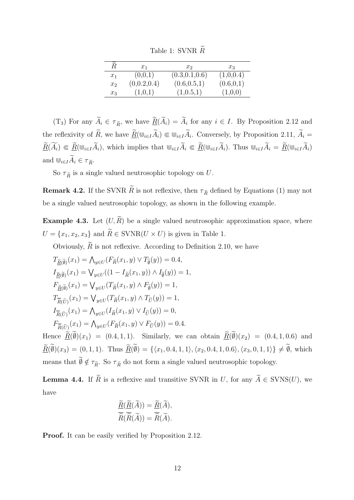Table 1: SVNR  $\widetilde{R}$ 

| $\bar{\phantom{1}}$<br>R | $x_1$       | $x_2$           | $x_{3}$    |
|--------------------------|-------------|-----------------|------------|
| $x_1$                    | (0,0,1)     | (0.3, 0.1, 0.6) | (1,0,0.4)  |
| x <sub>2</sub>           | (0,0.2,0.4) | (0.6, 0.5, 1)   | (0.6, 0.1) |
| $x_3$                    | (1,0,1)     | (1,0.5,1)       | (1,0,0)    |

(T<sub>3</sub>) For any  $A_i \in \tau_{\tilde{R}}$ , we have  $\underline{R}(A_i) = A_i$  for any  $i \in I$ . By Proposition 2.12 and the reflexivity of *R*, we have  $\underline{R}(\mathbb{U}_{i\in I}A_i) \in \mathbb{U}_{i\in I}A_i$ . Conversely, by Proposition 2.11,  $A_i =$  $\underline{\widetilde{R}}(\widetilde{A_i}) \in \underline{\widetilde{R}}(\mathbb{U}_{i \in I} \widetilde{A_i}),$  which implies that  $\mathbb{U}_{i \in I} \widetilde{A_i} \in \underline{\widetilde{R}}(\mathbb{U}_{i \in I} \widetilde{A_i}).$  Thus  $\mathbb{U}_{i \in I} \widetilde{A_i} = \underline{\widetilde{R}}(\mathbb{U}_{i \in I} \widetilde{A_i})$ and  $\mathbf{W}_{i \in I} \widetilde{A}_i \in \tau_{\widetilde{R}}$ .

So  $\tau_{\tilde{R}}$  is a single valued neutrosophic topology on *U*.

**Remark 4.2.** If the SVNR  $\widetilde{R}$  is not reflexive, then  $\tau_{\widetilde{R}}$  defined by Equations (1) may not be a single valued neutrosophic topology, as shown in the following example.

**Example 4.3.** Let  $(U, \widetilde{R})$  be a single valued neutrosophic approximation space, where  $U = \{x_1, x_2, x_3\}$  and  $\widetilde{R} \in \text{SVNR}(U \times U)$  is given in Table 1.

Obviously,  $\widetilde{R}$  is not reflexive. According to Definition 2.10, we have

$$
T_{\tilde{R}(\tilde{\theta})}(x_1) = \bigwedge_{y \in U} (F_{\tilde{R}}(x_1, y) \vee T_{\tilde{\theta}}(y)) = 0.4,
$$
  
\n
$$
I_{\tilde{R}(\tilde{\theta})}(x_1) = \bigvee_{y \in U} ((1 - I_{\tilde{R}}(x_1, y)) \wedge I_{\tilde{\theta}}(y)) = 1,
$$
  
\n
$$
F_{\tilde{R}(\tilde{\theta})}(x_1) = \bigvee_{y \in U} (T_{\tilde{R}}(x_1, y) \wedge F_{\tilde{\theta}}(y)) = 1,
$$
  
\n
$$
T_{\tilde{R}(\tilde{U})}(x_1) = \bigvee_{y \in U} (T_{\tilde{R}}(x_1, y) \wedge T_{\tilde{U}}(y)) = 1,
$$
  
\n
$$
I_{\tilde{R}(\tilde{U})}(x_1) = \bigwedge_{y \in U} (I_{\tilde{R}}(x_1, y) \vee I_{\tilde{U}}(y)) = 0,
$$
  
\n
$$
F_{\tilde{R}(\tilde{U})}(x_1) = \bigwedge_{y \in U} (F_{\tilde{R}}(x_1, y) \vee F_{\tilde{U}}(y)) = 0.4.
$$

Hence  $\underline{R}(\emptyset)(x_1) = (0.4, 1, 1)$ . Similarly, we can obtain  $\underline{R}(\emptyset)(x_2) = (0.4, 1, 0.6)$  and  $\underline{R}(\emptyset)(x_3) = (0, 1, 1).$  Thus  $\underline{R}(\emptyset) = \{\langle x_1, 0.4, 1, 1 \rangle, \langle x_2, 0.4, 1, 0.6 \rangle, \langle x_3, 0, 1, 1 \rangle\} \neq \emptyset$ , which means that  $\widetilde{\emptyset} \notin \tau_{\widetilde{R}}$ . So  $\tau_{\widetilde{R}}$  do not form a single valued neutrosophic topology.

**Lemma 4.4.** If  $\widetilde{R}$  is a reflexive and transitive SVNR in *U*, for any  $\widetilde{A} \in \text{SVNS}(U)$ , we have

$$
\frac{\widetilde{R}(\widetilde{R}(\widetilde{A})) = \widetilde{R}(\widetilde{A}),}{\widetilde{R}(\widetilde{R}(\widetilde{A})) = \widetilde{R}(\widetilde{A}).}
$$

**Proof.** It can be easily verified by Proposition 2.12.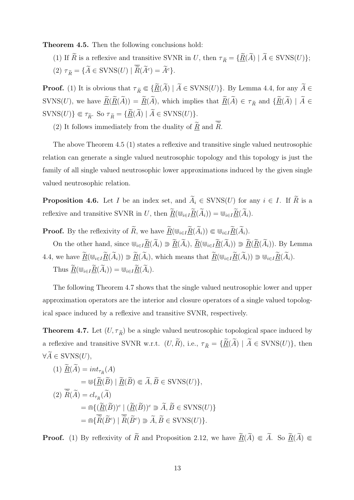**Theorem 4.5.** Then the following conclusions hold:

- (1) If  $\widetilde{R}$  is a reflexive and transitive SVNR in *U*, then  $\tau_{\widetilde{R}} = {\{\widetilde{\underline{R}}(\widetilde{A}) \mid \widetilde{A} \in \text{SVNS}(U)\}};$
- $(2)$   $\tau_{\tilde{R}} = {\{\tilde{A} \in \text{SVNS}(U) \mid \tilde{R}(\tilde{A}^c) = \tilde{A}^c\}}.$

**Proof.** (1) It is obvious that  $\tau_{\tilde{R}} \in {\tilde{R}(\tilde{A}) \mid \tilde{A} \in \text{SVNS}(U)}$ . By Lemma 4.4, for any  $\tilde{A} \in$  $\widetilde{B}(K)$ , we have  $\underline{\widetilde{R}}(\widetilde{R}(\widetilde{A})) = \underline{\widetilde{R}}(\widetilde{A})$ , which implies that  $\underline{\widetilde{R}}(\widetilde{A}) \in \tau_{\widetilde{R}}$  and  $\{\underline{\widetilde{R}}(\widetilde{A}) \mid \widetilde{A} \in \tau_{\widetilde{R}}$  $\text{SVNS}(U)$ }  $\in \tau_{\tilde{R}}$ . So  $\tau_{\tilde{R}} = \{ \underline{\tilde{R}}(\tilde{A}) \mid \tilde{A} \in \text{SVNS}(U) \}.$ 

(2) It follows immediately from the duality of  $\underline{\widetilde{R}}$  and  $\overline{\widetilde{R}}$ .

The above Theorem 4.5 (1) states a reflexive and transitive single valued neutrosophic relation can generate a single valued neutrosophic topology and this topology is just the family of all single valued neutrosophic lower approximations induced by the given single valued neutrosophic relation.

**Proposition 4.6.** Let *I* be an index set, and  $\widetilde{A}_i \in \text{SVNS}(U)$  for any  $i \in I$ . If  $\widetilde{R}$  is a reflexive and transitive SVNR in *U*, then  $\widetilde{\underline{R}}(\mathbb{U}_{i \in I} \widetilde{\underline{R}}(\widetilde{A}_{i})) = \mathbb{U}_{i \in I} \widetilde{\underline{R}}(\widetilde{A}_{i}).$ 

**Proof.** By the reflexivity of  $\widetilde{R}$ , we have  $\underline{\widetilde{R}}(\mathbb{U}_{i\in I}\underline{\widetilde{R}}(\widetilde{A}_{i}))\Subset \mathbb{U}_{i\in I}\underline{\widetilde{R}}(\widetilde{A}_{i}).$ 

On the other hand, since  $\mathbb{U}_{i\in I}\widetilde{R}(\widetilde{A}_{i}) \supseteq \widetilde{R}(\widetilde{A}_{i}), \widetilde{R}(\mathbb{U}_{i\in I}\widetilde{R}(\widetilde{A}_{i})) \supseteq \widetilde{R}(\widetilde{R}(\widetilde{A}_{i}))$ . By Lemma 4.4, we have  $\underline{\widetilde{R}}(\mathbb{U}_{i\in I}\underline{\widetilde{R}}(\widetilde{A}_i))\supseteq \underline{\widetilde{R}}(\widetilde{A}_i)$ , which means that  $\underline{\widetilde{R}}(\mathbb{U}_{i\in I}\underline{\widetilde{R}}(\widetilde{A}_i))\supseteq \mathbb{U}_{i\in I}\underline{\widetilde{R}}(\widetilde{A}_i)$ .  $\text{Thus } \widetilde{R}(\mathbb{U}_{i \in I} \widetilde{R}(\widetilde{A}_{i})) = \mathbb{U}_{i \in I} \widetilde{R}(\widetilde{A}_{i}).$ 

The following Theorem 4.7 shows that the single valued neutrosophic lower and upper approximation operators are the interior and closure operators of a single valued topological space induced by a reflexive and transitive SVNR, respectively.

**Theorem 4.7.** Let  $(U, \tau_{\tilde{R}})$  be a single valued neutrosophic topological space induced by a reflexive and transitive SVNR w.r.t.  $(U, \widetilde{R})$ , i.e.,  $\tau_{\widetilde{R}} = {\{\widetilde{R}(\widetilde{A}) \mid \widetilde{A} \in \text{SVNS}(U)\}}$ , then  $\forall \widetilde{A} \in \text{SVNS}(U),$ 

(1) 
$$
\widetilde{R}(\widetilde{A}) = int_{\tau_{\widetilde{R}}}(A)
$$
\n
$$
= \mathbb{U}\{\widetilde{R}(\widetilde{B}) \mid \widetilde{R}(\widetilde{B}) \subseteq \widetilde{A}, \widetilde{B} \in \text{SVNS}(U)\},
$$
\n(2) 
$$
\widetilde{R}(\widetilde{A}) = cl_{\tau_{\widetilde{R}}}(\widetilde{A})
$$
\n
$$
= \widehat{\mathbb{M}}\{\widetilde{R}(\widetilde{B})\}^c \mid (\widetilde{R}(\widetilde{B}))^c \supseteq \widetilde{A}, \widetilde{B} \in \text{SVNS}(U)\}
$$
\n
$$
= \widehat{\mathbb{M}}\{\widetilde{R}(\widetilde{B}^c) \mid \widetilde{R}(\widetilde{B}^c) \supseteq \widetilde{A}, \widetilde{B} \in \text{SVNS}(U)\}.
$$

**Proof.** (1) By reflexivity of  $\widetilde{R}$  and Proposition 2.12, we have  $\widetilde{R}(\widetilde{A}) \subseteq \widetilde{A}$ . So  $\widetilde{R}(\widetilde{A}) \subseteq$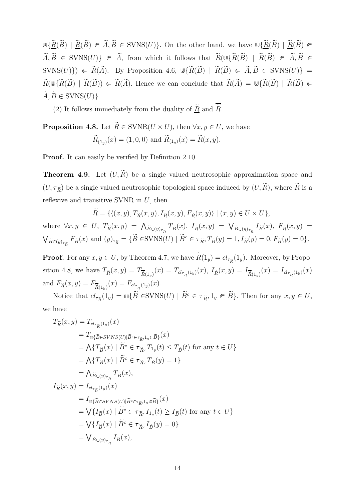$\forall \Psi \{ \widetilde{R}(\widetilde{B}) \mid \widetilde{R}(\widetilde{B}) \subseteq \widetilde{A}, \widetilde{B} \in \text{SVNS}(U) \}$ . On the other hand, we have  $\forall \Psi \{ \widetilde{R}(\widetilde{B}) \mid \widetilde{R}(\widetilde{B}) \subseteq \Psi$  $\widetilde{A}, \widetilde{B} \in \text{SVN}(U)$   $\in \widetilde{A}$ , from which it follows that  $\underline{\widetilde{R}}(\mathbb{U}\{\widetilde{R}(\widetilde{B}) \mid \widetilde{R}(\widetilde{B}) \in \widetilde{A}, \widetilde{B} \in \widetilde{A}\})$  $SVNS(U)$ })  $\in \underline{\widetilde{R}}(\widetilde{A})$ . By Proposition 4.6,  $\mathbb{U}\{\underline{\widetilde{R}}(\widetilde{B}) \mid \underline{\widetilde{R}}(\widetilde{B}) \in \widetilde{A}, \widetilde{B} \in \mathrm{SVNS}(U)\}$  =  $\widetilde{R}(\mathbb{U}\{\widetilde{R}(\widetilde{B}) \mid \widetilde{R}(\widetilde{B})) \subseteq \widetilde{R}(\widetilde{A})$ . Hence we can conclude that  $\widetilde{R}(\widetilde{A}) = \mathbb{U}\{\widetilde{R}(\widetilde{B}) \mid \widetilde{R}(\widetilde{B}) \subseteq \widetilde{R}(\widetilde{B})\}$  $\widetilde{A}, \widetilde{B} \in \text{SVNS}(U)$ .

(2) It follows immediately from the duality of  $\widetilde{\underline{R}}$  and  $\overline{\widetilde{R}}$ .

**Proposition 4.8.** Let  $\widetilde{R} \in \text{SVNR}(U \times U)$ , then  $\forall x, y \in U$ , we have  $R_{(1_y)}(x) = (1, 0, 0)$  and  $R_{(1_y)}(x) = R(x, y)$ .

**Proof.** It can easily be verified by Definition 2.10.

**Theorem 4.9.** Let  $(U, \widetilde{R})$  be a single valued neutrosophic approximation space and  $(U, \tau_{\widetilde{R}})$  be a single valued neutrosophic topological space induced by  $(U, \widetilde{R})$ , where  $\widetilde{R}$  is a reflexive and transitive SVNR in *U*, then

$$
\tilde{R} = \{ \langle (x, y), T_{\tilde{R}}(x, y), I_{\tilde{R}}(x, y), F_{\tilde{R}}(x, y) \rangle \mid (x, y) \in U \times U \},\
$$

where  $\forall x, y \in U$ ,  $T_{\tilde{R}}(x, y) = \bigwedge_{\tilde{B} \in (y)_{\tau_{\tilde{R}}}} T_{\tilde{B}}(x)$ ,  $I_{\tilde{R}}(x, y) = \bigvee_{\tilde{B} \in (y)_{\tau_{\tilde{R}}}} I_{\tilde{B}}(x)$ ,  $F_{\tilde{R}}(x, y) =$ ∨  $\tilde{B}\in(y)_{\tau_{\tilde{R}}}$   $F_{\tilde{B}}(x)$  and  $(y)_{\tau_{\tilde{R}}} = {\tilde{B} \in \text{SVNS}(U) | \tilde{B}^c \in \tau_{\tilde{R}}}, T_{\tilde{B}}(y) = 1, I_{\tilde{B}}(y) = 0, F_{\tilde{B}}(y) = 0}.$ 

**Proof.** For any  $x, y \in U$ , by Theorem 4.7, we have  $R(1_y) = cl_{\tau_{\tilde{R}}}(1_y)$ . Moreover, by Proposition 4.8, we have  $T_{\tilde{R}}(x,y) = T_{\tilde{R}(1_y)}(x) = T_{cl_{\tau_{\tilde{R}}}(1_y)}(x)$ ,  $I_{\tilde{R}}(x,y) = I_{\tilde{R}(1_y)}(x) = I_{cl_{\tau_{\tilde{R}}}(1_y)}(x)$ and  $F_{\tilde{R}}(x, y) = F_{\overline{\tilde{R}}(1_y)}(x) = F_{cl_{\tau_{\tilde{R}}(1_y)}}(x)$ .

Notice that  $cl_{\tau_{\tilde{R}}}(1_y) = \widehat{m} \{ \tilde{B} \in \text{SVNS}(U) \mid \tilde{B}^c \in \tau_{\tilde{R}}, 1_y \in \tilde{B} \}.$  Then for any  $x, y \in U$ , we have

$$
T_{\tilde{R}}(x, y) = T_{cl_{\tau_{\tilde{R}}}(1_y)}(x)
$$
  
\n
$$
= T_{\mathbb{M}\{\tilde{B}\in SVNS(U)|\tilde{B}^c \in \tau_{\tilde{R}}, 1_y \in \tilde{B}\}}(x)
$$
  
\n
$$
= \bigwedge \{T_{\tilde{B}}(x) \mid \tilde{B}^c \in \tau_{\tilde{R}}, T_{1_y}(t) \le T_{\tilde{B}}(t) \text{ for any } t \in U\}
$$
  
\n
$$
= \bigwedge \{T_{\tilde{B}}(x) \mid \tilde{B}^c \in \tau_{\tilde{R}}, T_{\tilde{B}}(y) = 1\}
$$
  
\n
$$
= \bigwedge_{\tilde{B}\in(y)_{\tau_{\tilde{R}}}} T_{\tilde{B}}(x),
$$
  
\n
$$
I_{\tilde{R}}(x, y) = I_{cl_{\tau_{\tilde{R}}}(1_y)}(x)
$$
  
\n
$$
= I_{\mathbb{M}\{\tilde{B}\in SVNS(U)|\tilde{B}^c \in \tau_{\tilde{R}}, 1_y \in \tilde{B}\}}(x)
$$
  
\n
$$
= \bigvee \{I_{\tilde{B}}(x) \mid \tilde{B}^c \in \tau_{\tilde{R}}, I_{1_y}(t) \ge I_{\tilde{B}}(t) \text{ for any } t \in U\}
$$
  
\n
$$
= \bigvee \{I_{\tilde{B}}(x) \mid \tilde{B}^c \in \tau_{\tilde{R}}, I_{\tilde{B}}(y) = 0\}
$$
  
\n
$$
= \bigvee_{\tilde{B}\in(y)_{\tau_{\tilde{R}}}} I_{\tilde{B}}(x),
$$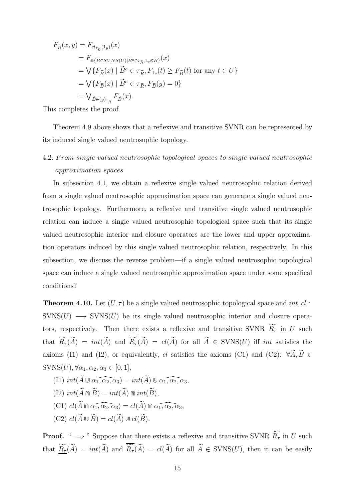$$
F_{\tilde{R}}(x,y) = F_{cl_{\tau_{\tilde{R}}}(1_y)}(x)
$$
  
\n
$$
= F_{\tilde{\mathbb{M}}\{\tilde{B}\in SVNS(U)|\tilde{B}^c \in \tau_{\tilde{R}}, 1_y \in \tilde{B}\}}(x)
$$
  
\n
$$
= \bigvee \{F_{\tilde{B}}(x) \mid \tilde{B}^c \in \tau_{\tilde{R}}, F_{1_y}(t) \ge F_{\tilde{B}}(t) \text{ for any } t \in U\}
$$
  
\n
$$
= \bigvee \{F_{\tilde{B}}(x) \mid \tilde{B}^c \in \tau_{\tilde{R}}, F_{\tilde{B}}(y) = 0\}
$$
  
\n
$$
= \bigvee_{\tilde{B}\in(y)_{\tau_{\tilde{R}}}} F_{\tilde{B}}(x).
$$

This completes the proof.

Theorem 4.9 above shows that a reflexive and transitive SVNR can be represented by its induced single valued neutrosophic topology.

#### 4*.*2*. F rom single valued neutrosophic topological spaces to single valued neutrosophic approximation spaces*

In subsection 4.1, we obtain a reflexive single valued neutrosophic relation derived from a single valued neutrosophic approximation space can generate a single valued neutrosophic topology. Furthermore, a reflexive and transitive single valued neutrosophic relation can induce a single valued neutrosophic topological space such that its single valued neutrosophic interior and closure operators are the lower and upper approximation operators induced by this single valued neutrosophic relation, respectively. In this subsection, we discuss the reverse problem—if a single valued neutrosophic topological space can induce a single valued neutrosophic approximation space under some specifical conditions?

**Theorem 4.10.** Let  $(U, \tau)$  be a single valued neutrosophic topological space and *int, cl*: SVNS(*U*) → SVNS(*U*) be its single valued neutrosophic interior and closure operators, respectively. Then there exists a reflexive and transitive SVNR  $\widetilde{R}_{\tau}$  in *U* such that  $\widetilde{\underline{R}_{\tau}}(\widetilde{A}) = int(\widetilde{A})$  and  $\overline{\widetilde{R}_{\tau}}(\widetilde{A}) = cl(\widetilde{A})$  for all  $\widetilde{A} \in \text{SVNS}(U)$  iff *int* satisfies the axioms (I1) and (I2), or equivalently, *cl* satisfies the axioms (C1) and (C2):  $\forall \widetilde{A}, \widetilde{B} \in$  $\text{SVNS}(U)$ ,  $\forall \alpha_1, \alpha_2, \alpha_3 \in [0, 1]$ ,

- $(11)$   $int(\widetilde{A} \cup \widetilde{\alpha_1,\alpha_2,\alpha_3}) = int(\widetilde{A}) \cup \widetilde{\alpha_1,\alpha_2,\alpha_3},$
- $(I2) int( $\widetilde{A} \mod \widetilde{B}$ ) = int( $\widetilde{A}$ )  $\Cap int(\widetilde{B})$ ,$
- $(C1)$   $cl(\widetilde{A} \oplus \widetilde{a_1, a_2, a_3}) = cl(\widetilde{A}) \oplus \widetilde{a_1, a_2, a_3},$
- $(C2)$   $cl(\widetilde{A} \cup \widetilde{B}) = cl(\widetilde{A}) \cup cl(\widetilde{B}).$

**Proof.** " $\implies$ " Suppose that there exists a reflexive and transitive SVNR  $\widetilde{R}_{\tau}$  in *U* such that  $\widetilde{\underline{R}_{\tau}}(\widetilde{A}) = int(\widetilde{A})$  and  $\overline{\widetilde{R}_{\tau}}(\widetilde{A}) = cl(\widetilde{A})$  for all  $\widetilde{A} \in \text{SVNS}(U)$ , then it can be easily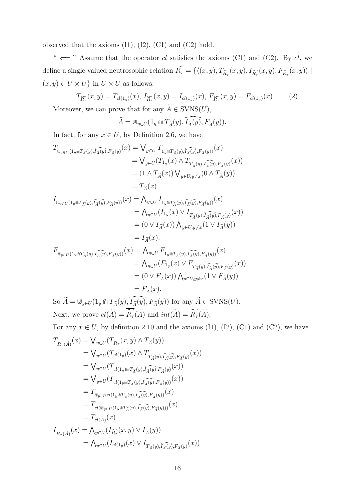observed that the axioms  $(I1)$ ,  $(I2)$ ,  $(C1)$  and  $(C2)$  hold.

"  $\Leftarrow$  " Assume that the operator *cl* satisfies the axioms (C1) and (C2). By *cl*, we define a single valued neutrosophic relation  $R_{\tau} = \{ \langle (x, y), T_{\widetilde{R}_{\tau}}(x, y), I_{\widetilde{R}_{\tau}}(x, y), F_{\widetilde{R}_{\tau}}(x, y) \rangle \mid$  $(x,y) \in U \times U$ } in  $U \times U$  as follows:

$$
T_{\widetilde{R_{\tau}}}(x,y) = T_{cl(1_y)}(x), \ I_{\widetilde{R_{\tau}}}(x,y) = I_{cl(1_y)}(x), \ F_{\widetilde{R_{\tau}}}(x,y) = F_{cl(1_y)}(x) \tag{2}
$$

Moreover, we can prove that for any  $A \in \text{SVNS}(U)$ ,

$$
\widetilde{A} = \bigcirc_{y \in U} (1_y \cap T_{\widetilde{A}}(y), \widetilde{I}_{\widetilde{A}}(y), F_{\widetilde{A}}(y)).
$$

In fact, for any  $x \in U$ , by Definition 2.6, we have

$$
T_{\mathbb{U}_{y\in U}(1_y \cap T_{\widetilde{A}}(y), \widehat{I_{\widetilde{A}}(y)}, F_{\widetilde{A}}(y)})}(x) = \bigvee_{y\in U} T_{1_y \cap T_{\widetilde{A}}(y), \widehat{I_{\widetilde{A}}(y)}, F_{\widetilde{A}}(y)})}(x)
$$
  

$$
= \bigvee_{y\in U} (T_{1_y}(x) \wedge T_{T_{\widetilde{A}}(y), \widehat{I_{\widetilde{A}}(y)}, F_{\widetilde{A}}(y)})
$$
  

$$
= (1 \wedge T_{\widetilde{A}}(x)) \bigvee_{y\in U, y\neq x} (0 \wedge T_{\widetilde{A}}(y))
$$
  

$$
= T_{\widetilde{A}}(x).
$$

$$
I_{\psi_{y \in U}(1_y \cap T_{\widetilde{A}}(y), \widehat{I_{\widetilde{A}}(y)}, F_{\widetilde{A}}(y))}(x) = \bigwedge_{y \in U} I_{1_y \cap T_{\widetilde{A}}(y), \widehat{I_{\widetilde{A}}(y)}, F_{\widetilde{A}}(y))}(x)
$$
  
\n
$$
= \bigwedge_{y \in U} (I_{1_y}(x) \vee I_{T_{\widetilde{A}}(y), \widehat{I_{\widetilde{A}}(y)}, F_{\widetilde{A}}(y)}(x))
$$
  
\n
$$
= (0 \vee I_{\widetilde{A}}(x)) \bigwedge_{y \in U, y \neq x} (1 \vee I_{\widetilde{A}}(y))
$$
  
\n
$$
= I_{\widetilde{A}}(x).
$$

$$
F_{\mathbb{U}_{y\in U}(1_{y}\cap T_{\widetilde{A}}(y),\widetilde{I_{\widetilde{A}}(y)},F_{\widetilde{A}}(y))}(x) = \Lambda_{y\in U} F_{1_{y}\cap T_{\widetilde{A}}(y),\widetilde{I_{\widetilde{A}}(y)},F_{\widetilde{A}}(y))}(x)
$$
  
\n
$$
= \Lambda_{y\in U}(F_{1_{y}}(x) \vee F_{T_{\widetilde{A}}(y),\widetilde{I_{\widetilde{A}}(y)},F_{\widetilde{A}}(y)}(x))
$$
  
\n
$$
= (0 \vee F_{\widetilde{A}}(x)) \Lambda_{y\in U, y\neq x}(1 \vee F_{\widetilde{A}}(y))
$$
  
\n
$$
= F_{\widetilde{A}}(x).
$$

 $\widetilde{A} = \bigcup_{y \in U} (1_y \cap T_{\widetilde{A}}(y), \widetilde{I}_{\widetilde{A}}(y), F_{\widetilde{A}}(y))$  for any  $\widetilde{A} \in \text{SVNS}(U)$ . Next, we prove  $cl(\widetilde{A}) = \overline{\widetilde{R}_{\tau}}(\widetilde{A})$  and  $int(\widetilde{A}) = \underline{\widetilde{R}_{\tau}}(\widetilde{A})$ .

For any  $x \in U$ , by definition 2.10 and the axioms (I1), (I2), (C1) and (C2), we have

$$
T_{\widetilde{R_{\tau}}(\widetilde{A})}(x) = \bigvee_{y \in U} (T_{\widetilde{R_{\tau}}}(x, y) \wedge T_{\widetilde{A}}(y))
$$
  
\n
$$
= \bigvee_{y \in U} (T_{cl(1_y)}(x) \wedge T_{T_{\widetilde{A}}(y), \widetilde{I_{\widetilde{A}}(y)}, F_{\widetilde{A}}(y)}(x))
$$
  
\n
$$
= \bigvee_{y \in U} (T_{cl(1_y) \cap T_{\widetilde{A}}(y), \widetilde{I_{\widetilde{A}}(y)}, F_{\widetilde{A}}(y)}(x))
$$
  
\n
$$
= \bigvee_{y \in U} (T_{cl(1_y \cap T_{\widetilde{A}}(y), \widetilde{I_{\widetilde{A}}(y)}, F_{\widetilde{A}}(y)})}(x))
$$
  
\n
$$
= T_{\bigcup_{y \in U} cl(1_y \cap T_{\widetilde{A}}(y), \widetilde{I_{\widetilde{A}}(y)}, F_{\widetilde{A}}(y))}(x)
$$
  
\n
$$
= T_{cl(\bigcup_{y \in U} (1_y \cap T_{\widetilde{A}}(y), \widetilde{I_{\widetilde{A}}(y)}, F_{\widetilde{A}}(y)))}(x)
$$
  
\n
$$
= T_{cl(\widetilde{A})}(x).
$$
  
\n
$$
I_{\widetilde{R_{\tau}}(\widetilde{A})}(x) = \bigwedge_{y \in U} (I_{\widetilde{R_{\tau}}}(x, y) \vee I_{\widetilde{A}}(y))
$$
  
\n
$$
= \bigwedge_{y \in U} (I_{cl(1_y)}(x) \vee I_{T_{\widetilde{A}}(y), \widetilde{I_{\widetilde{A}}(y)}, F_{\widetilde{A}}(y)}(x))
$$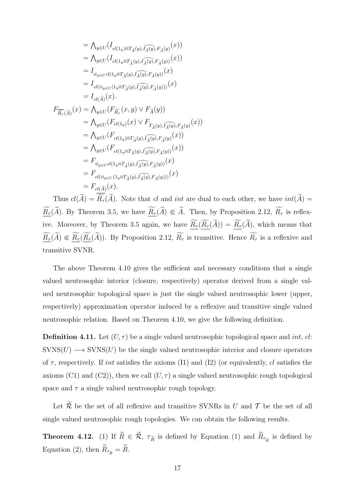$$
= \bigwedge_{y \in U} (I_{cl(\mathbf{1}_y) \cap T_{\widetilde{A}}(y), \widehat{I_{\widetilde{A}}(y)}, F_{\widetilde{A}}(y)}(x))
$$
  
\n
$$
= \bigwedge_{y \in U} (I_{cl(\mathbf{1}_y \cap T_{\widetilde{A}}(y), \widehat{I_{\widetilde{A}}(y)}, F_{\widetilde{A}}(y))}(x))
$$
  
\n
$$
= I_{\mathbf{U}_{\mathbf{y} \in U} cl(\mathbf{1}_y \cap T_{\widetilde{A}}(y), \widehat{I_{\widetilde{A}}(y)}, F_{\widetilde{A}}(y))}(x)
$$
  
\n
$$
= I_{cl(\mathbf{U}_{\mathbf{y} \in U} (1_{\mathbf{y} \cap T_{\widetilde{A}}(y), \widehat{I_{\widetilde{A}}(y)}, F_{\widetilde{A}}(y))})}(x)
$$
  
\n
$$
= I_{cl(\widetilde{A})}(x).
$$
  
\n
$$
F_{\widetilde{R_{\tau}}(\widetilde{A})}(x) = \bigwedge_{y \in U} (F_{\widetilde{R_{\tau}}}(x, y) \vee F_{\widetilde{A}}(y))
$$
  
\n
$$
= \bigwedge_{y \in U} (F_{cl(\mathbf{1}_y)}(x) \vee F_{T_{\widetilde{A}}(y), \widehat{I_{\widetilde{A}}(y)}, F_{\widetilde{A}}(y)}(x))
$$
  
\n
$$
= \bigwedge_{y \in U} (F_{cl(\mathbf{1}_y) \cap T_{\widetilde{A}}(y), \widehat{I_{\widetilde{A}}(y)}, F_{\widetilde{A}}(y)}(x))
$$
  
\n
$$
= \bigwedge_{y \in U} (F_{cl(\mathbf{1}_y \cap T_{\widetilde{A}}(y), \widehat{I_{\widetilde{A}}(y)}, F_{\widetilde{A}}(y))}(x))
$$
  
\n
$$
= F_{\mathbf{U}_{\mathbf{y} \in U} (1_{\mathbf{y} \cap T_{\widetilde{A}}(y), \widehat{I_{\widetilde{A}}(y)}, F_{\widetilde{A}}(y))})}(x)
$$
  
\n<math display="</math>

Thus  $cl(A) = R_{\tau}(A)$ . Note that *cl* and *int* are dual to each other, we have  $int(A) =$  $\widetilde{R}_{\tau}(\widetilde{A})$ *.* By Theorem 3.5, we have  $\widetilde{R}_{\tau}(\widetilde{A}) \subseteq \widetilde{A}$ *.* Then, by Proposition 2.12,  $\widetilde{R}_{\tau}$  is reflexive. Moreover, by Theorem 3.5 again, we have  $\widetilde{\underline{R}_{\tau}}(\widetilde{\underline{R}_{\tau}}(\widetilde{A})) = \widetilde{\underline{R}_{\tau}}(\widetilde{A})$ , which means that  $\underline{\widetilde{R}_{\tau}}(\widetilde{A}) \in \underline{\widetilde{R}_{\tau}}(\underline{\widetilde{R}_{\tau}}(\widetilde{A}))$ . By Proposition 2.12,  $\widetilde{R_{\tau}}$  is transitive. Hence  $\widetilde{R_{\tau}}$  is a reflexive and transitive SVNR.

The above Theorem 4.10 gives the sufficient and necessary conditions that a single valued neutrosophic interior (closure, respectively) operator derived from a single valued neutrosophic topological space is just the single valued neutrosophic lower (upper, respectively) approximation operator induced by a reflexive and transitive single valued neutrosophic relation. Based on Theorem 4.10, we give the following definition.

**Definition 4.11.** Let  $(U, \tau)$  be a single valued neutrosophic topological space and *int*, *cl*:  $SVNS(U) \longrightarrow SVNS(U)$  be the single valued neutrosophic interior and closure operators of *τ* , respectively. If *int* satisfies the axioms (I1) and (I2) (or equivalently, *cl* satisfies the axioms (C1) and (C2)), then we call  $(U, \tau)$  a single valued neutrosophic rough topological space and  $\tau$  a single valued neutrosophic rough topology.

Let  $\widetilde{\mathcal{R}}$  be the set of all reflexive and transitive SVNRs in *U* and  $\mathcal{T}$  be the set of all single valued neutrosophic rough topologies. We can obtain the following results.

**Theorem 4.12.** (1) If  $R \in \mathcal{R}$ ,  $\tau_{\tilde{R}}$  is defined by Equation (1) and  $R_{\tau_{\tilde{R}}}$  is defined by Equation (2), then  $\widetilde{R}_{\tau_{\widetilde{R}}} = \widetilde{R}$ .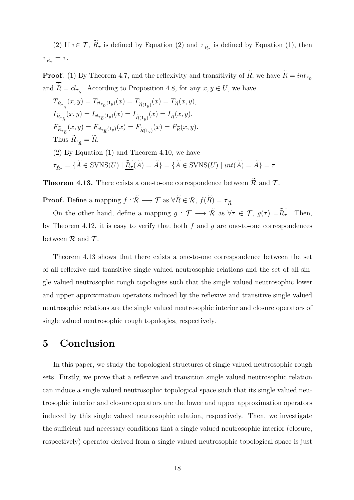(2) If  $\tau \in \mathcal{T}$ ,  $R_{\tau}$  is defined by Equation (2) and  $\tau_{\tilde{R}_{\tau}}$  is defined by Equation (1), then  $\tau_{\widetilde{R}_{\tau}} = \tau.$ 

**Proof.** (1) By Theorem 4.7, and the reflexivity and transitivity of  $\widetilde{R}$ , we have  $\underline{\widetilde{R}} = int_{\tau_{\widetilde{R}}}$ and  $R = cl_{\tau_{\tilde{R}}}$ . According to Proposition 4.8, for any  $x, y \in U$ , we have

$$
T_{\tilde{R}_{\tau_{\tilde{R}}}}(x,y) = T_{cl_{\tau_{\tilde{R}}}(1_y)}(x) = T_{\tilde{R}(1_y)}(x) = T_{\tilde{R}}(x,y),
$$
  
\n
$$
I_{\tilde{R}_{\tau_{\tilde{R}}}}(x,y) = I_{cl_{\tau_{\tilde{R}}}(1_y)}(x) = I_{\tilde{R}(1_y)}(x) = I_{\tilde{R}}(x,y),
$$
  
\n
$$
F_{\tilde{R}_{\tau_{\tilde{R}}}}(x,y) = F_{cl_{\tau_{\tilde{R}}}(1_y)}(x) = F_{\tilde{R}(1_y)}(x) = F_{\tilde{R}}(x,y).
$$
  
\nThus  $\tilde{R}_{\tau_{\tilde{R}}} = \tilde{R}$ .  
\n(2) By Equation (1) and Theorem 4.10, we have  
\n
$$
\tau_{\tilde{R}_{\tau}} = {\tilde{A} \in \text{SVNS}(U) | \underline{\widetilde{R}_{\tau}}(\tilde{A}) = \tilde{A}} = {\tilde{A} \in \text{SVNS}(U) | int(\tilde{A}) = \tilde{A}} = \tau.
$$

**Theorem 4.13.** There exists a one-to-one correspondence between  $\widetilde{\mathcal{R}}$  and  $\mathcal{T}$ .

**Proof.** Define a mapping  $f : \widetilde{\mathcal{R}} \longrightarrow \mathcal{T}$  as  $\forall \widetilde{R} \in \mathcal{R}, f(\widetilde{R}) = \tau_{\widetilde{R}}$ .

On the other hand, define a mapping  $g : \mathcal{T} \longrightarrow \tilde{\mathcal{R}}$  as  $\forall \tau \in \mathcal{T}$ ,  $g(\tau) = \widetilde{R}_{\tau}$ . Then, by Theorem 4.12, it is easy to verify that both *f* and *g* are one-to-one correspondences between  $R$  and  $T$ .

Theorem 4.13 shows that there exists a one-to-one correspondence between the set of all reflexive and transitive single valued neutrosophic relations and the set of all single valued neutrosophic rough topologies such that the single valued neutrosophic lower and upper approximation operators induced by the reflexive and transitive single valued neutrosophic relations are the single valued neutrosophic interior and closure operators of single valued neutrosophic rough topologies, respectively.

#### **5 Conclusion**

In this paper, we study the topological structures of single valued neutrosophic rough sets. Firstly, we prove that a reflexive and transition single valued neutrosophic relation can induce a single valued neutrosophic topological space such that its single valued neutrosophic interior and closure operators are the lower and upper approximation operators induced by this single valued neutrosophic relation, respectively. Then, we investigate the sufficient and necessary conditions that a single valued neutrosophic interior (closure, respectively) operator derived from a single valued neutrosophic topological space is just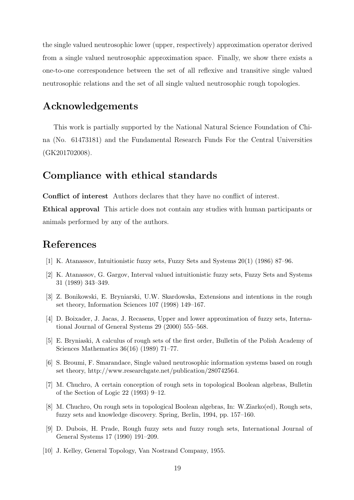the single valued neutrosophic lower (upper, respectively) approximation operator derived from a single valued neutrosophic approximation space. Finally, we show there exists a one-to-one correspondence between the set of all reflexive and transitive single valued neutrosophic relations and the set of all single valued neutrosophic rough topologies.

#### **Acknowledgements**

This work is partially supported by the National Natural Science Foundation of China (No. 61473181) and the Fundamental Research Funds For the Central Universities (GK201702008).

#### **Compliance with ethical standards**

**Conflict of interest** Authors declares that they have no conflict of interest.

**Ethical approval** This article does not contain any studies with human participants or animals performed by any of the authors.

### **References**

- [1] K. Atanassov, Intuitionistic fuzzy sets, Fuzzy Sets and Systems 20(1) (1986) 87–96.
- [2] K. Atanassov, G. Gargov, Interval valued intuitionistic fuzzy sets, Fuzzy Sets and Systems 31 (1989) 343–349.
- [3] Z. Bonikowski, E. Bryniarski, U.W. Skardowska, Extensions and intentions in the rough set theory, Information Sciences 107 (1998) 149–167.
- [4] D. Boixader, J. Jacas, J. Recasens, Upper and lower approximation of fuzzy sets, International Journal of General Systems 29 (2000) 555–568.
- [5] E. Bryniaski, A calculus of rough sets of the first order, Bulletin of the Polish Academy of Sciences Mathematics 36(16) (1989) 71–77.
- [6] S. Broumi, F. Smarandace, Single valued neutrosophic information systems based on rough set theory, http://www.researchgate.net/publication/280742564.
- [7] M. Chuchro, A certain conception of rough sets in topological Boolean algebras, Bulletin of the Section of Logic 22 (1993) 9–12.
- [8] M. Chuchro, On rough sets in topological Boolean algebras, In: W.Ziarko(ed), Rough sets, fuzzy sets and knowledge discovery. Spring, Berlin, 1994, pp. 157–160.
- [9] D. Dubois, H. Prade, Rough fuzzy sets and fuzzy rough sets, International Journal of General Systems 17 (1990) 191–209.
- [10] J. Kelley, General Topology, Van Nostrand Company, 1955.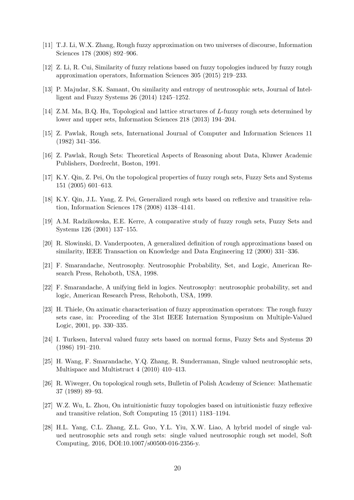- [11] T.J. Li, W.X. Zhang, Rough fuzzy approximation on two universes of discourse, Information Sciences 178 (2008) 892–906.
- [12] Z. Li, R. Cui, Similarity of fuzzy relations based on fuzzy topologies induced by fuzzy rough approximation operators, Information Sciences 305 (2015) 219–233.
- [13] P. Majudar, S.K. Samant, On similarity and entropy of neutrosophic sets, Journal of Intelligent and Fuzzy Systems 26 (2014) 1245–1252.
- [14] Z.M. Ma, B.Q. Hu, Topological and lattice structures of *L*-fuzzy rough sets determined by lower and upper sets, Information Sciences 218 (2013) 194–204.
- [15] Z. Pawlak, Rough sets, International Journal of Computer and Information Sciences 11 (1982) 341–356.
- [16] Z. Pawlak, Rough Sets: Theoretical Aspects of Reasoning about Data, Kluwer Academic Publishers, Dordrecht, Boston, 1991.
- [17] K.Y. Qin, Z. Pei, On the topological properties of fuzzy rough sets, Fuzzy Sets and Systems 151 (2005) 601–613.
- [18] K.Y. Qin, J.L. Yang, Z. Pei, Generalized rough sets based on reflexive and transitive relation, Information Sciences 178 (2008) 4138–4141.
- [19] A.M. Radzikowska, E.E. Kerre, A comparative study of fuzzy rough sets, Fuzzy Sets and Systems 126 (2001) 137–155.
- [20] R. Slowinski, D. Vanderpooten, A generalized definition of rough approximations based on similarity, IEEE Transaction on Knowledge and Data Engineering 12 (2000) 331–336.
- [21] F. Smarandache, Neutrosophy. Neutrosophic Probability, Set, and Logic, American Research Press, Rehoboth, USA, 1998.
- [22] F. Smarandache, A unifying field in logics. Neutrosophy: neutrosophic probability, set and logic, American Research Press, Rehoboth, USA, 1999.
- [23] H. Thiele, On aximatic characterisation of fuzzy approximation operators: The rough fuzzy sets case, in: Proceeding of the 31st IEEE Internation Symposium on Multiple-Valued Logic, 2001, pp. 330–335.
- [24] I. Turksen, Interval valued fuzzy sets based on normal forms, Fuzzy Sets and Systems 20 (1986) 191–210.
- [25] H. Wang, F. Smarandache, Y.Q. Zhang, R. Sunderraman, Single valued neutrosophic sets, Multispace and Multistruct 4 (2010) 410–413.
- [26] R. Wiweger, On topological rough sets, Bulletin of Polish Academy of Science: Mathematic 37 (1989) 89–93.
- [27] W.Z. Wu, L. Zhou, On intuitionistic fuzzy topologies based on intuitionistic fuzzy reflexive and transitive relation, Soft Computing 15 (2011) 1183–1194.
- [28] H.L. Yang, C.L. Zhang, Z.L. Guo, Y.L. Yiu, X.W. Liao, A hybrid model of single valued neutrosophic sets and rough sets: single valued neutrosophic rough set model, Soft Computing, 2016, DOI:10.1007/s00500-016-2356-y.